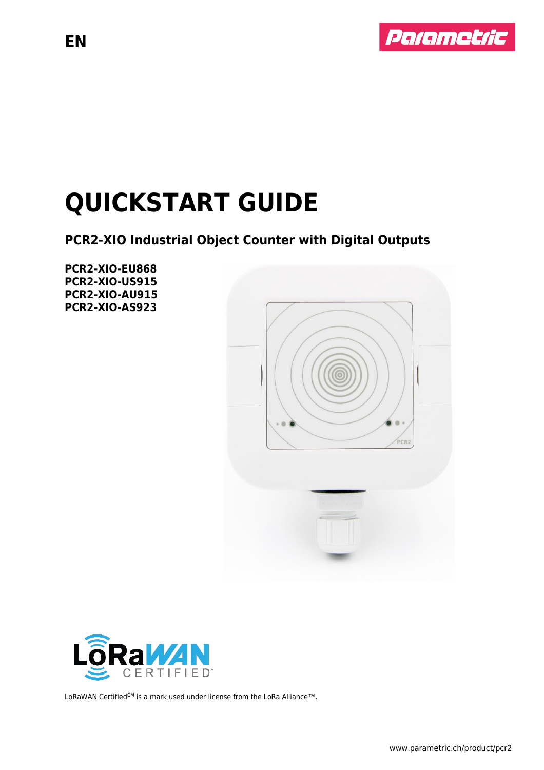

# **QUICKSTART GUIDE**

### **PCR2-XIO Industrial Object Counter with Digital Outputs**

**PCR2-XIO-EU868 PCR2-XIO-US915 PCR2-XIO-AU915 PCR2-XIO-AS923**





LoRaWAN Certified<sup>CM</sup> is a mark used under license from the LoRa Alliance™.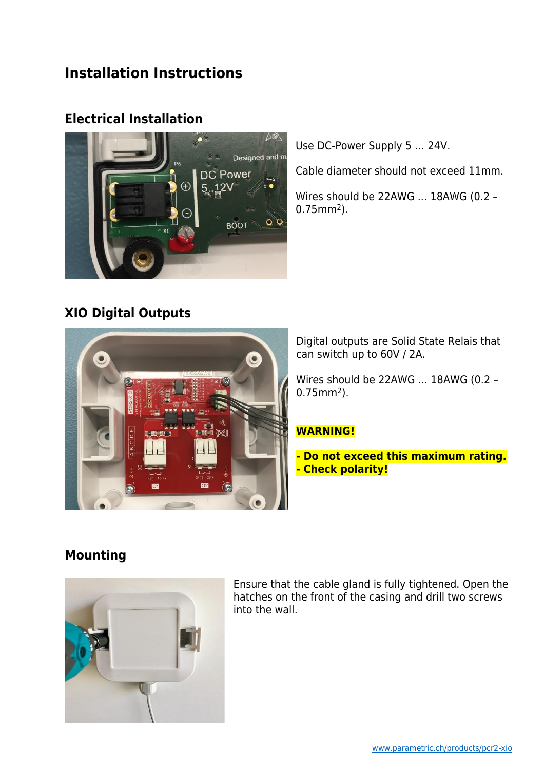### **Installation Instructions**

### **Electrical Installation**



### **XIO Digital Outputs**



Use DC-Power Supply 5 … 24V.

Cable diameter should not exceed 11mm.

Wires should be 22AWG ... 18AWG (0.2 – 0.75mm2).

Digital outputs are Solid State Relais that can switch up to 60V / 2A.

Wires should be 22AWG ... 18AWG (0.2 – 0.75mm2).

### **WARNING!**

**- Do not exceed this maximum rating. - Check polarity!**

### **Mounting**



Ensure that the cable gland is fully tightened. Open the hatches on the front of the casing and drill two screws into the wall.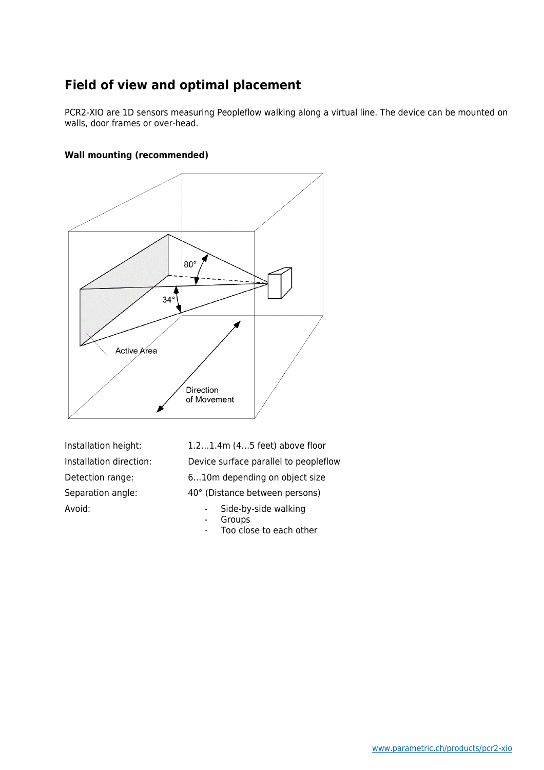### **Field of view and optimal placement**

PCR2-XIO are 1D sensors measuring Peopleflow walking along a virtual line. The device can be mounted on walls, door frames or over-head.

#### **Wall mounting (recommended)**



Avoid: The Side-by-side walking

Installation height: 1.2…1.4m (4…5 feet) above floor Installation direction: Device surface parallel to peopleflow Detection range: 6…10m depending on object size Separation angle: 40° (Distance between persons)

- Groups
- Too close to each other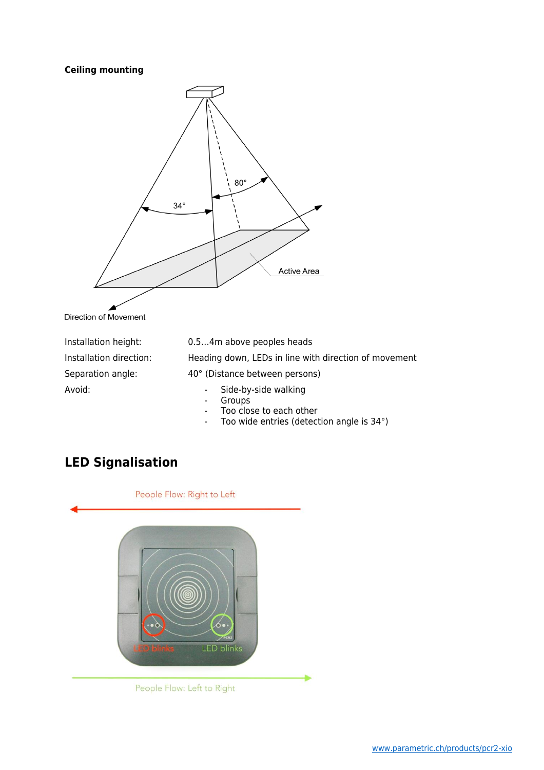#### **Ceiling mounting**



Direction of Movement

Avoid: The Side-by-side walking

Installation height: 0.5…4m above peoples heads Installation direction: Heading down, LEDs in line with direction of movement Separation angle: 40° (Distance between persons)

- 
- Groups
- Too close to each other
- Too wide entries (detection angle is 34°)

### **LED Signalisation**



People Flow: Left to Right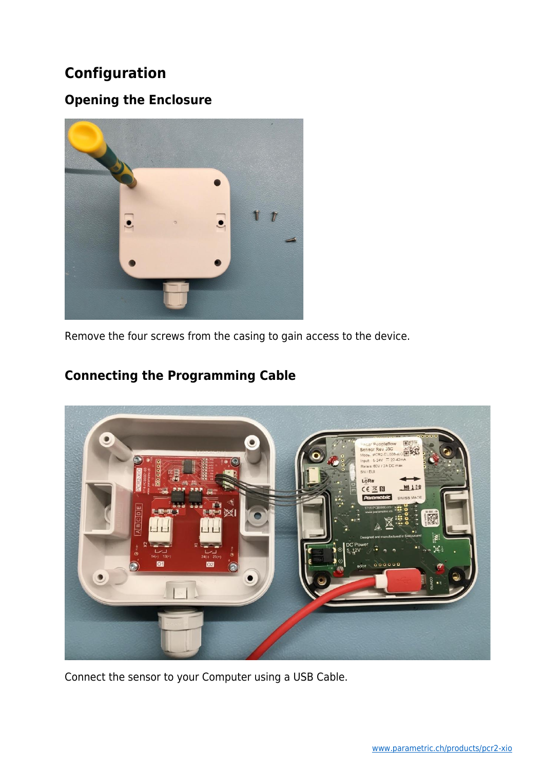### **Configuration**

### **Opening the Enclosure**



Remove the four screws from the casing to gain access to the device.

### **Connecting the Programming Cable**



Connect the sensor to your Computer using a USB Cable.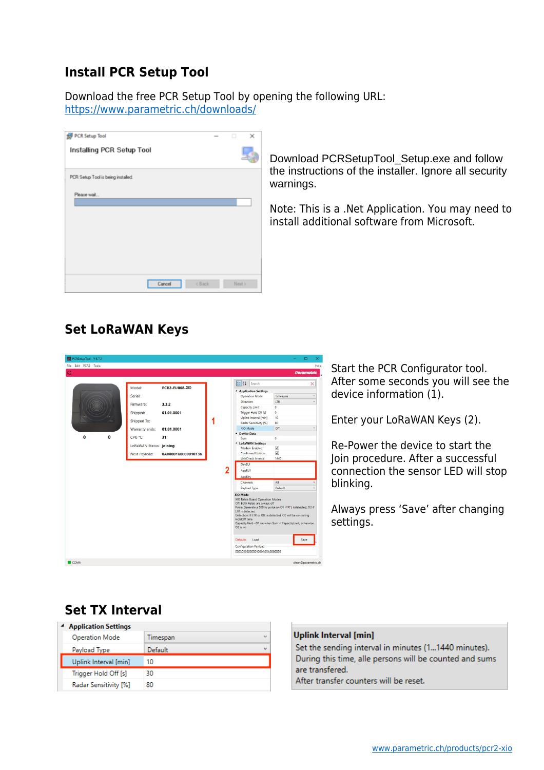### **Install PCR Setup Tool**

Download the free PCR Setup Tool by opening the following URL: <https://www.parametric.ch/downloads/>

| PCR Setup Tool                     | $\frac{1}{2}$                               | о    | × |
|------------------------------------|---------------------------------------------|------|---|
| Installing PCR Setup Tool          |                                             |      |   |
| PCR Setup Tool is being installed. |                                             |      |   |
| Please wait                        |                                             |      |   |
| Cancel                             | <back< th=""><th>Nest</th><th></th></back<> | Nest |   |

Download PCRSetupTool\_Setup.exe and follow the instructions of the installer. Ignore all security warnings.

Note: This is a .Net Application. You may need to install additional software from Microsoft.

### **Set LoRaWAN Keys**

| PCRSetupTool - V 6.7.2   |                         |                       |   |                                                                                                                                                                                                                      | O                                                                                                                                                                                               | ×    |
|--------------------------|-------------------------|-----------------------|---|----------------------------------------------------------------------------------------------------------------------------------------------------------------------------------------------------------------------|-------------------------------------------------------------------------------------------------------------------------------------------------------------------------------------------------|------|
| Edit PCR2 Tools<br>File: |                         |                       |   |                                                                                                                                                                                                                      |                                                                                                                                                                                                 | Help |
| $\Omega$                 |                         |                       |   |                                                                                                                                                                                                                      | Parametric                                                                                                                                                                                      |      |
|                          |                         |                       |   |                                                                                                                                                                                                                      |                                                                                                                                                                                                 |      |
|                          |                         |                       |   | 3121<br>Search                                                                                                                                                                                                       | ×                                                                                                                                                                                               |      |
|                          | Model:                  | <b>PCR2-EU868-XIO</b> |   | <b>4</b> Application Settings                                                                                                                                                                                        |                                                                                                                                                                                                 |      |
|                          | Serial:                 |                       |   | Operation Mode                                                                                                                                                                                                       | Timespan                                                                                                                                                                                        |      |
|                          |                         | 3.3.2                 |   | <b>Direction</b>                                                                                                                                                                                                     | LTR                                                                                                                                                                                             |      |
|                          | Firmware:               |                       |   | Capacity Limit                                                                                                                                                                                                       | $\Omega$                                                                                                                                                                                        |      |
|                          | Shipped:                | 01.01.0001            |   | Trigger Hold Off [s]                                                                                                                                                                                                 | $\circ$                                                                                                                                                                                         |      |
| ٠o                       | Shipped To:             |                       |   | Uplink Interval [min]                                                                                                                                                                                                | 10                                                                                                                                                                                              |      |
|                          |                         |                       | 1 | Radar Sensitivity [%]                                                                                                                                                                                                | 80                                                                                                                                                                                              |      |
|                          | Warranty ends:          | 01.01.0001            |   | XIO Mode                                                                                                                                                                                                             | Off                                                                                                                                                                                             |      |
| $\bf{0}$<br>$\bf{0}$     | CPU °C:                 | 31                    |   | <sup>4</sup> Device Data                                                                                                                                                                                             |                                                                                                                                                                                                 |      |
|                          |                         |                       |   | Sum                                                                                                                                                                                                                  | o                                                                                                                                                                                               |      |
|                          | LoRaWAN Status: joining |                       |   | <sup>4</sup> LoRaWAN Settings<br>Modem Enabled                                                                                                                                                                       | $\overline{\mathsf{v}}$                                                                                                                                                                         |      |
|                          |                         | 0A0000160000010136    |   | Confirmed Uplinks                                                                                                                                                                                                    | $\overline{\mathsf{v}}$                                                                                                                                                                         |      |
|                          | Next Payload:           |                       |   | LinkCheck Interval                                                                                                                                                                                                   | 1440                                                                                                                                                                                            |      |
|                          |                         |                       |   | <b>DevEUI</b>                                                                                                                                                                                                        |                                                                                                                                                                                                 |      |
|                          |                         |                       | 2 | AppEUI                                                                                                                                                                                                               |                                                                                                                                                                                                 |      |
|                          |                         |                       |   |                                                                                                                                                                                                                      |                                                                                                                                                                                                 |      |
|                          |                         |                       |   | AppKey                                                                                                                                                                                                               |                                                                                                                                                                                                 |      |
|                          |                         |                       |   | Channels                                                                                                                                                                                                             | All                                                                                                                                                                                             |      |
|                          |                         |                       |   | Payload Type                                                                                                                                                                                                         | Default                                                                                                                                                                                         |      |
|                          |                         |                       |   | XIO Mode<br>XIO Relais Board Operation Modes<br>Off: Both Relais are always off<br>LTR is detected<br>HoldOff time<br>$O2$ is on<br><b>Defaults</b><br>Load<br>Configuration Payload<br>00030302000001000A05A0000050 | Pulse: Generate a 500ms pulse on O1 if RTL isdetected, O2 if<br>Detection: If LTR or RTL is detected, O2 will be on during<br>CapacityAlert - O1 on when Sum < CapacityLimit, otherwise<br>Save |      |
|                          |                         |                       |   |                                                                                                                                                                                                                      |                                                                                                                                                                                                 |      |

Start the PCR Configurator tool. After some seconds you will see the device information (1).

Enter your LoRaWAN Keys (2).

Re-Power the device to start the Join procedure. After a successful connection the sensor LED will stop blinking.

Always press 'Save' after changing settings.

### **Set TX Interval**

| <b>Application Settings</b> |          |                          |  |
|-----------------------------|----------|--------------------------|--|
| <b>Operation Mode</b>       | Timespan | $\overline{\phantom{a}}$ |  |
| Payload Type                | Default  | $\overline{\phantom{a}}$ |  |
| Uplink Interval [min]       | 10       |                          |  |
| Trigger Hold Off [s]        | 30       |                          |  |
| Radar Sensitivity [%]       | 80       |                          |  |

#### **Uplink Interval [min]**

Set the sending interval in minutes (1...1440 minutes). During this time, alle persons will be counted and sums are transfered.

After transfer counters will be reset.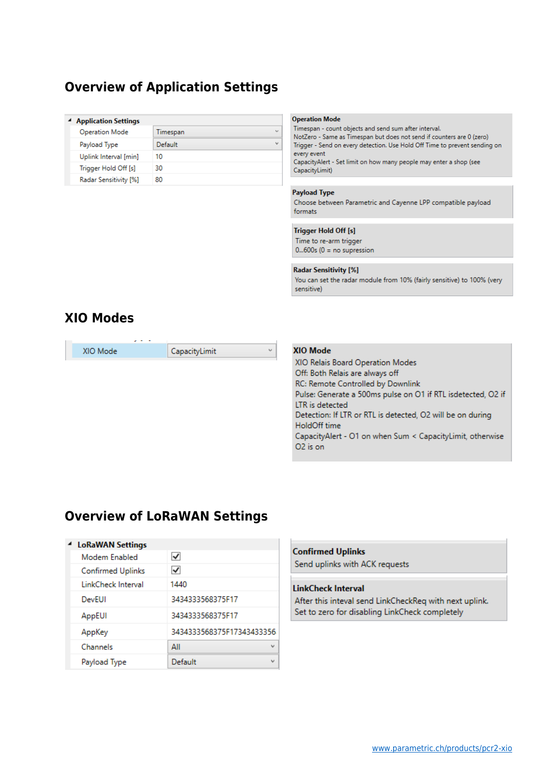### **Overview of Application Settings**

#### **4** Application Settings

| nppmanon settings     |          |                          |
|-----------------------|----------|--------------------------|
| <b>Operation Mode</b> | Timespan | $\overline{\phantom{a}}$ |
| Payload Type          | Default  | $\checkmark$             |
| Uplink Interval [min] | 10       |                          |
| Trigger Hold Off [s]  | 30       |                          |
| Radar Sensitivity [%] | 80       |                          |

#### **Operation Mode**

Timespan - count objects and send sum after interval. NotZero - Same as Timespan but does not send if counters are 0 (zero) Trigger - Send on every detection. Use Hold Off Time to prevent sending on every event CapacityAlert - Set limit on how many people may enter a shop (see CapacityLimit)

#### **Payload Type**

Choose between Parametric and Cayenne LPP compatible payload formats

#### **Trigger Hold Off [s]**

Time to re-arm trigger  $0...600s$  ( $0 = no$  supression

#### **Radar Sensitivity [%]**

You can set the radar module from 10% (fairly sensitive) to 100% (very sensitive)

### **XIO Modes**

| XIO Mode | CapacityLimit |
|----------|---------------|
|          |               |

#### XIO Mode

XIO Relais Board Operation Modes Off: Both Relais are always off RC: Remote Controlled by Downlink Pulse: Generate a 500ms pulse on O1 if RTL isdetected, O2 if LTR is detected Detection: If LTR or RTL is detected, O2 will be on during HoldOff time CapacityAlert - O1 on when Sum < CapacityLimit, otherwise O<sub>2</sub> is on

### **Overview of LoRaWAN Settings**

#### <sup>4</sup> LoRaWAN Settings

| Modem Enabled            | ✓                               |
|--------------------------|---------------------------------|
| <b>Confirmed Uplinks</b> | ✓                               |
| LinkCheck Interval       | 1440                            |
| DevEUI                   | 3434333568375F17                |
| AppEUI                   | 3434333568375F17                |
| AppKey                   | 3434333568375F17343433356       |
| Channels                 | ΑIΙ<br>$\overline{\phantom{a}}$ |
| Payload Type             | Default                         |

#### **Confirmed Uplinks**

Send uplinks with ACK requests

#### **LinkCheck Interval**

After this inteval send LinkCheckReq with next uplink. Set to zero for disabling LinkCheck completely